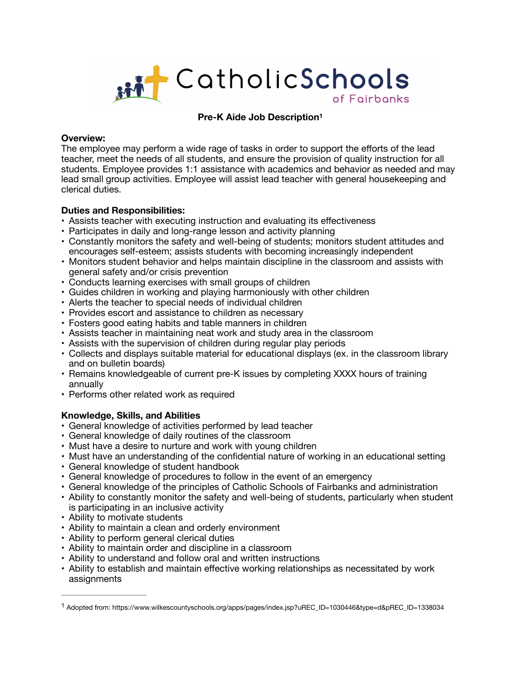

# <span id="page-0-1"></span>**Pre-K Aide Job Descriptio[n1](#page-0-0)**

### **Overview:**

The employee may perform a wide rage of tasks in order to support the efforts of the lead teacher, meet the needs of all students, and ensure the provision of quality instruction for all students. Employee provides 1:1 assistance with academics and behavior as needed and may lead small group activities. Employee will assist lead teacher with general housekeeping and clerical duties.

## **Duties and Responsibilities:**

- Assists teacher with executing instruction and evaluating its effectiveness
- Participates in daily and long-range lesson and activity planning
- Constantly monitors the safety and well-being of students; monitors student attitudes and encourages self-esteem; assists students with becoming increasingly independent
- Monitors student behavior and helps maintain discipline in the classroom and assists with general safety and/or crisis prevention
- Conducts learning exercises with small groups of children
- Guides children in working and playing harmoniously with other children
- Alerts the teacher to special needs of individual children
- Provides escort and assistance to children as necessary
- Fosters good eating habits and table manners in children
- Assists teacher in maintaining neat work and study area in the classroom
- Assists with the supervision of children during regular play periods
- Collects and displays suitable material for educational displays (ex. in the classroom library and on bulletin boards)
- Remains knowledgeable of current pre-K issues by completing XXXX hours of training annually
- Performs other related work as required

## **Knowledge, Skills, and Abilities**

- General knowledge of activities performed by lead teacher
- General knowledge of daily routines of the classroom
- Must have a desire to nurture and work with young children
- Must have an understanding of the confidential nature of working in an educational setting
- General knowledge of student handbook
- General knowledge of procedures to follow in the event of an emergency
- General knowledge of the principles of Catholic Schools of Fairbanks and administration
- Ability to constantly monitor the safety and well-being of students, particularly when student is participating in an inclusive activity
- Ability to motivate students
- Ability to maintain a clean and orderly environment
- Ability to perform general clerical duties
- Ability to maintain order and discipline in a classroom
- Ability to understand and follow oral and written instructions
- Ability to establish and maintain effective working relationships as necessitated by work assignments

<span id="page-0-0"></span>Adopted from: https://www.wilkescountyschools.org/apps/pages/index.jsp?uREC\_ID=1030446&type=d&pREC\_ID=1338034 [1](#page-0-1)